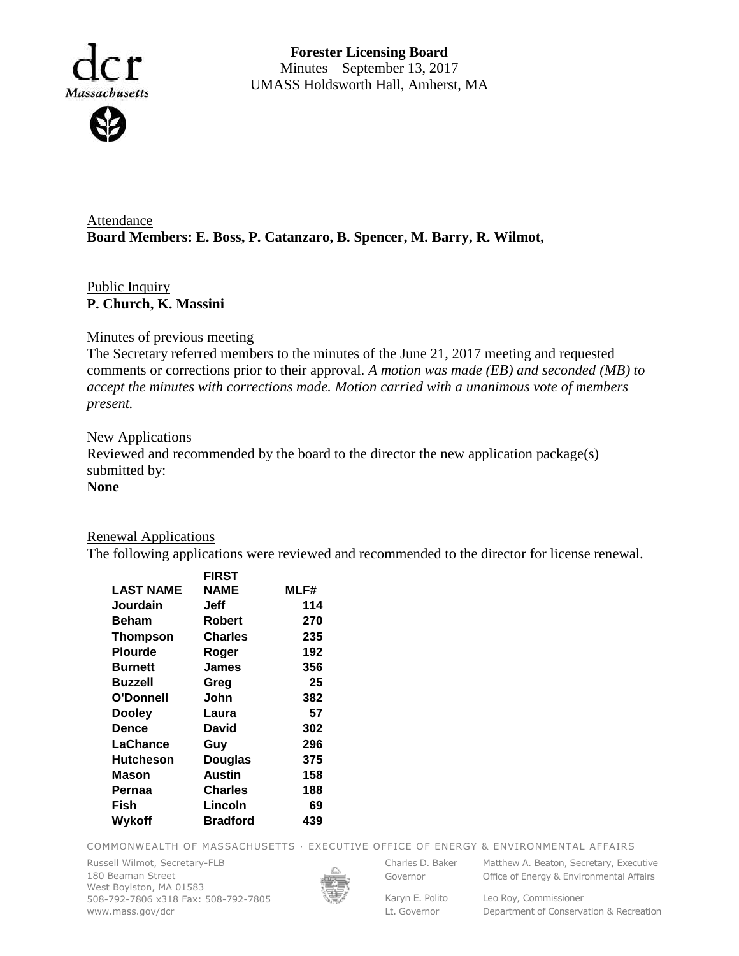

**Forester Licensing Board**  Minutes – September 13, 2017 UMASS Holdsworth Hall, Amherst, MA

Attendance **Board Members: E. Boss, P. Catanzaro, B. Spencer, M. Barry, R. Wilmot,** 

# Public Inquiry **P. Church, K. Massini**

### Minutes of previous meeting

The Secretary referred members to the minutes of the June 21, 2017 meeting and requested comments or corrections prior to their approval. *A motion was made (EB) and seconded (MB) to accept the minutes with corrections made. Motion carried with a unanimous vote of members present.*

### **New Applications**

Reviewed and recommended by the board to the director the new application package(s) submitted by:

## **None**

### Renewal Applications

The following applications were reviewed and recommended to the director for license renewal.

|                  | <b>FIRST</b>    |      |
|------------------|-----------------|------|
| <b>LAST NAME</b> | <b>NAME</b>     | MLF# |
| Jourdain         | Jeff            | 114  |
| <b>Beham</b>     | <b>Robert</b>   | 270  |
| Thompson         | Charles         | 235  |
| <b>Plourde</b>   | Roger           | 192  |
| <b>Burnett</b>   | James           | 356  |
| Buzzell          | Greg            | 25   |
| O'Donnell        | John            | 382  |
| <b>Dooley</b>    | Laura           | 57   |
| Dence            | David           | 302  |
| LaChance         | Guy             | 296  |
| <b>Hutcheson</b> | <b>Douglas</b>  | 375  |
| Mason            | Austin          | 158  |
| Pernaa           | <b>Charles</b>  | 188  |
| Fish             | Lincoln         | 69   |
| Wykoff           | <b>Bradford</b> | 439  |
|                  |                 |      |

COMMONWEALTH OF MASSACHUSETTS · EXECUTIVE OFFICE OF ENERGY & ENVIRONMENTAL AFFAIRS

Russell Wilmot, Secretary-FLB 180 Beaman Street West Boylston, MA 01583 508-792-7806 x318 Fax: 508-792-7805 www.mass.gov/dcr



Governor

Charles D. Baker Matthew A. Beaton, Secretary, Executive Office of Energy & Environmental Affairs

Karyn E. Polito Lt. Governor

Leo Roy, Commissioner Department of Conservation & Recreation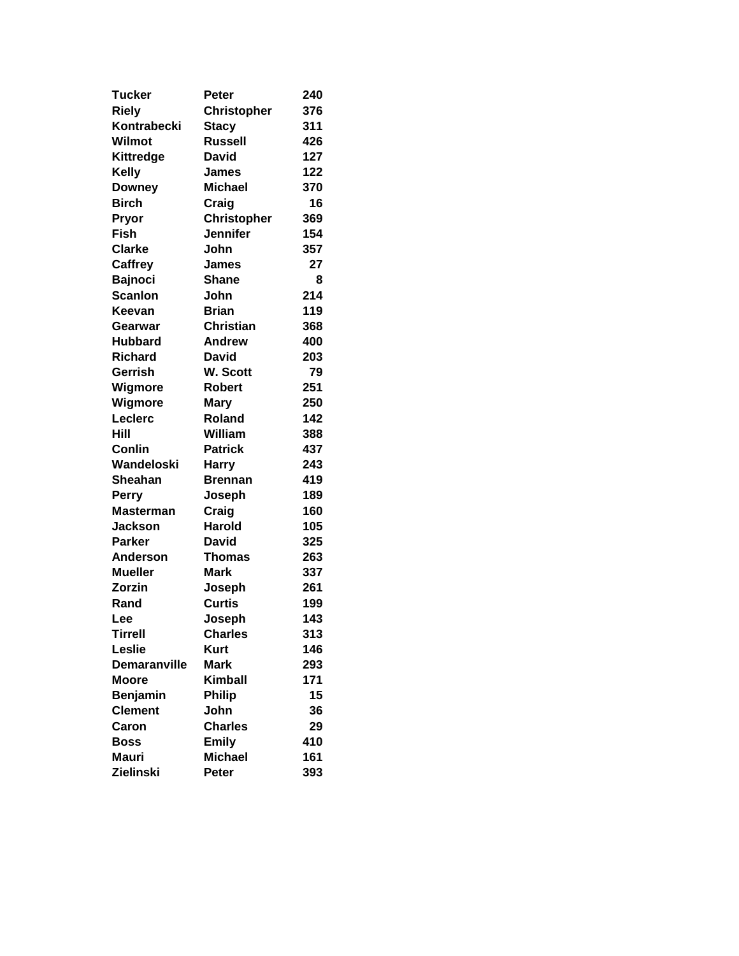| <b>Tucker</b>       | <b>Peter</b>       | 240 |
|---------------------|--------------------|-----|
| <b>Riely</b>        | <b>Christopher</b> | 376 |
| Kontrabecki         | <b>Stacy</b>       | 311 |
| Wilmot              | <b>Russell</b>     | 426 |
| Kittredge           | David              | 127 |
| Kelly               | <b>James</b>       | 122 |
| <b>Downey</b>       | <b>Michael</b>     | 370 |
| <b>Birch</b>        | Craig              | 16  |
| Pryor               | <b>Christopher</b> | 369 |
| <b>Fish</b>         | <b>Jennifer</b>    | 154 |
| <b>Clarke</b>       | John               | 357 |
| <b>Caffrey</b>      | James              | 27  |
| <b>Bajnoci</b>      | <b>Shane</b>       | 8   |
| <b>Scanlon</b>      | John               | 214 |
| Keevan              | <b>Brian</b>       | 119 |
| Gearwar             | <b>Christian</b>   | 368 |
| <b>Hubbard</b>      | <b>Andrew</b>      | 400 |
| <b>Richard</b>      | <b>David</b>       | 203 |
| Gerrish             | W. Scott           | 79  |
| Wigmore             | <b>Robert</b>      | 251 |
| Wigmore             | <b>Mary</b>        | 250 |
| Leclerc             | Roland             | 142 |
| Hill                | William            | 388 |
| Conlin              | <b>Patrick</b>     | 437 |
| Wandeloski          | <b>Harry</b>       | 243 |
| <b>Sheahan</b>      | <b>Brennan</b>     | 419 |
| Perry               | Joseph             | 189 |
| <b>Masterman</b>    | Craig              | 160 |
| <b>Jackson</b>      | <b>Harold</b>      | 105 |
| Parker              | <b>David</b>       | 325 |
| <b>Anderson</b>     | <b>Thomas</b>      | 263 |
| <b>Mueller</b>      | <b>Mark</b>        | 337 |
| Zorzin              | Joseph             | 261 |
| Rand                | <b>Curtis</b>      | 199 |
| Lee                 | Joseph             | 143 |
| <b>Tirrell</b>      | <b>Charles</b>     | 313 |
| Leslie              | <b>Kurt</b>        | 146 |
| <b>Demaranville</b> | <b>Mark</b>        | 293 |
| <b>Moore</b>        | <b>Kimball</b>     | 171 |
| <b>Benjamin</b>     | <b>Philip</b>      | 15  |
| <b>Clement</b>      | John               | 36  |
| Caron               | <b>Charles</b>     | 29  |
| Boss                | <b>Emily</b>       | 410 |
| <b>Mauri</b>        | <b>Michael</b>     | 161 |
| Zielinski           | Peter              | 393 |